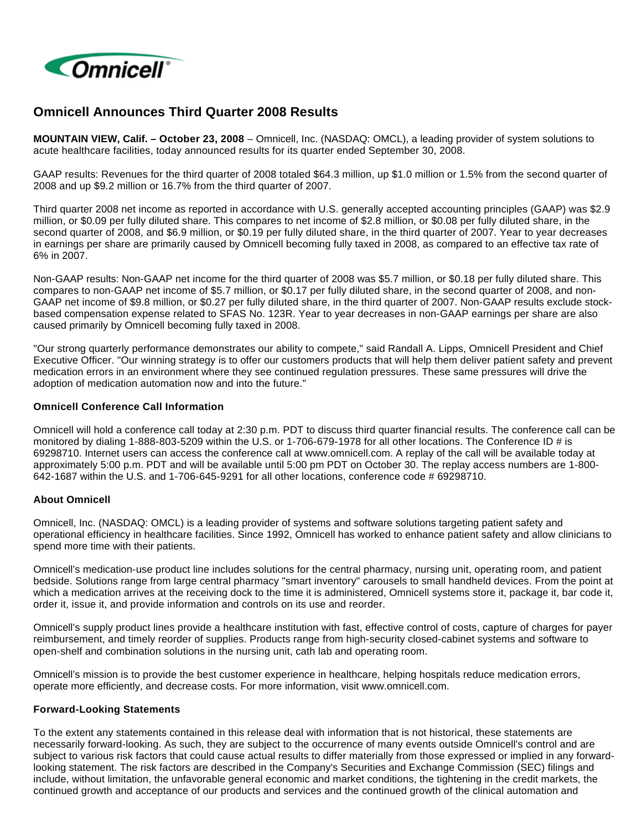

# **Omnicell Announces Third Quarter 2008 Results**

**MOUNTAIN VIEW, Calif. – October 23, 2008** – Omnicell, Inc. (NASDAQ: OMCL), a leading provider of system solutions to acute healthcare facilities, today announced results for its quarter ended September 30, 2008.

GAAP results: Revenues for the third quarter of 2008 totaled \$64.3 million, up \$1.0 million or 1.5% from the second quarter of 2008 and up \$9.2 million or 16.7% from the third quarter of 2007.

Third quarter 2008 net income as reported in accordance with U.S. generally accepted accounting principles (GAAP) was \$2.9 million, or \$0.09 per fully diluted share. This compares to net income of \$2.8 million, or \$0.08 per fully diluted share, in the second quarter of 2008, and \$6.9 million, or \$0.19 per fully diluted share, in the third quarter of 2007. Year to year decreases in earnings per share are primarily caused by Omnicell becoming fully taxed in 2008, as compared to an effective tax rate of 6% in 2007.

Non-GAAP results: Non-GAAP net income for the third quarter of 2008 was \$5.7 million, or \$0.18 per fully diluted share. This compares to non-GAAP net income of \$5.7 million, or \$0.17 per fully diluted share, in the second quarter of 2008, and non-GAAP net income of \$9.8 million, or \$0.27 per fully diluted share, in the third quarter of 2007. Non-GAAP results exclude stockbased compensation expense related to SFAS No. 123R. Year to year decreases in non-GAAP earnings per share are also caused primarily by Omnicell becoming fully taxed in 2008.

"Our strong quarterly performance demonstrates our ability to compete," said Randall A. Lipps, Omnicell President and Chief Executive Officer. "Our winning strategy is to offer our customers products that will help them deliver patient safety and prevent medication errors in an environment where they see continued regulation pressures. These same pressures will drive the adoption of medication automation now and into the future."

### **Omnicell Conference Call Information**

Omnicell will hold a conference call today at 2:30 p.m. PDT to discuss third quarter financial results. The conference call can be monitored by dialing 1-888-803-5209 within the U.S. or 1-706-679-1978 for all other locations. The Conference ID # is 69298710. Internet users can access the conference call at www.omnicell.com. A replay of the call will be available today at approximately 5:00 p.m. PDT and will be available until 5:00 pm PDT on October 30. The replay access numbers are 1-800- 642-1687 within the U.S. and 1-706-645-9291 for all other locations, conference code # 69298710.

# **About Omnicell**

Omnicell, Inc. (NASDAQ: OMCL) is a leading provider of systems and software solutions targeting patient safety and operational efficiency in healthcare facilities. Since 1992, Omnicell has worked to enhance patient safety and allow clinicians to spend more time with their patients.

Omnicell's medication-use product line includes solutions for the central pharmacy, nursing unit, operating room, and patient bedside. Solutions range from large central pharmacy "smart inventory" carousels to small handheld devices. From the point at which a medication arrives at the receiving dock to the time it is administered, Omnicell systems store it, package it, bar code it, order it, issue it, and provide information and controls on its use and reorder.

Omnicell's supply product lines provide a healthcare institution with fast, effective control of costs, capture of charges for payer reimbursement, and timely reorder of supplies. Products range from high-security closed-cabinet systems and software to open-shelf and combination solutions in the nursing unit, cath lab and operating room.

Omnicell's mission is to provide the best customer experience in healthcare, helping hospitals reduce medication errors, operate more efficiently, and decrease costs. For more information, visit www.omnicell.com.

### **Forward-Looking Statements**

To the extent any statements contained in this release deal with information that is not historical, these statements are necessarily forward-looking. As such, they are subject to the occurrence of many events outside Omnicell's control and are subject to various risk factors that could cause actual results to differ materially from those expressed or implied in any forwardlooking statement. The risk factors are described in the Company's Securities and Exchange Commission (SEC) filings and include, without limitation, the unfavorable general economic and market conditions, the tightening in the credit markets, the continued growth and acceptance of our products and services and the continued growth of the clinical automation and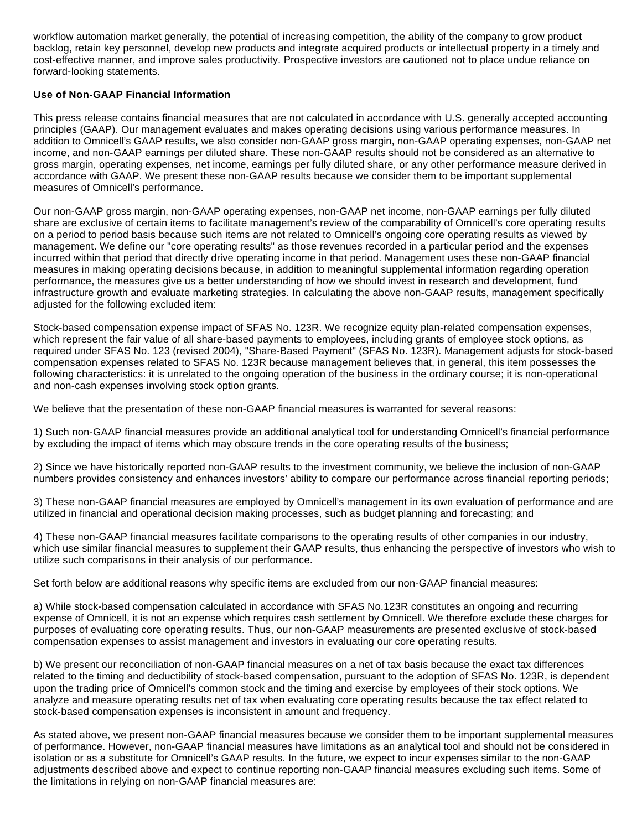workflow automation market generally, the potential of increasing competition, the ability of the company to grow product backlog, retain key personnel, develop new products and integrate acquired products or intellectual property in a timely and cost-effective manner, and improve sales productivity. Prospective investors are cautioned not to place undue reliance on forward-looking statements.

# **Use of Non-GAAP Financial Information**

This press release contains financial measures that are not calculated in accordance with U.S. generally accepted accounting principles (GAAP). Our management evaluates and makes operating decisions using various performance measures. In addition to Omnicell's GAAP results, we also consider non-GAAP gross margin, non-GAAP operating expenses, non-GAAP net income, and non-GAAP earnings per diluted share. These non-GAAP results should not be considered as an alternative to gross margin, operating expenses, net income, earnings per fully diluted share, or any other performance measure derived in accordance with GAAP. We present these non-GAAP results because we consider them to be important supplemental measures of Omnicell's performance.

Our non-GAAP gross margin, non-GAAP operating expenses, non-GAAP net income, non-GAAP earnings per fully diluted share are exclusive of certain items to facilitate management's review of the comparability of Omnicell's core operating results on a period to period basis because such items are not related to Omnicell's ongoing core operating results as viewed by management. We define our "core operating results" as those revenues recorded in a particular period and the expenses incurred within that period that directly drive operating income in that period. Management uses these non-GAAP financial measures in making operating decisions because, in addition to meaningful supplemental information regarding operation performance, the measures give us a better understanding of how we should invest in research and development, fund infrastructure growth and evaluate marketing strategies. In calculating the above non-GAAP results, management specifically adjusted for the following excluded item:

Stock-based compensation expense impact of SFAS No. 123R. We recognize equity plan-related compensation expenses, which represent the fair value of all share-based payments to employees, including grants of employee stock options, as required under SFAS No. 123 (revised 2004), "Share-Based Payment" (SFAS No. 123R). Management adjusts for stock-based compensation expenses related to SFAS No. 123R because management believes that, in general, this item possesses the following characteristics: it is unrelated to the ongoing operation of the business in the ordinary course; it is non-operational and non-cash expenses involving stock option grants.

We believe that the presentation of these non-GAAP financial measures is warranted for several reasons:

1) Such non-GAAP financial measures provide an additional analytical tool for understanding Omnicell's financial performance by excluding the impact of items which may obscure trends in the core operating results of the business;

2) Since we have historically reported non-GAAP results to the investment community, we believe the inclusion of non-GAAP numbers provides consistency and enhances investors' ability to compare our performance across financial reporting periods;

3) These non-GAAP financial measures are employed by Omnicell's management in its own evaluation of performance and are utilized in financial and operational decision making processes, such as budget planning and forecasting; and

4) These non-GAAP financial measures facilitate comparisons to the operating results of other companies in our industry, which use similar financial measures to supplement their GAAP results, thus enhancing the perspective of investors who wish to utilize such comparisons in their analysis of our performance.

Set forth below are additional reasons why specific items are excluded from our non-GAAP financial measures:

a) While stock-based compensation calculated in accordance with SFAS No.123R constitutes an ongoing and recurring expense of Omnicell, it is not an expense which requires cash settlement by Omnicell. We therefore exclude these charges for purposes of evaluating core operating results. Thus, our non-GAAP measurements are presented exclusive of stock-based compensation expenses to assist management and investors in evaluating our core operating results.

b) We present our reconciliation of non-GAAP financial measures on a net of tax basis because the exact tax differences related to the timing and deductibility of stock-based compensation, pursuant to the adoption of SFAS No. 123R, is dependent upon the trading price of Omnicell's common stock and the timing and exercise by employees of their stock options. We analyze and measure operating results net of tax when evaluating core operating results because the tax effect related to stock-based compensation expenses is inconsistent in amount and frequency.

As stated above, we present non-GAAP financial measures because we consider them to be important supplemental measures of performance. However, non-GAAP financial measures have limitations as an analytical tool and should not be considered in isolation or as a substitute for Omnicell's GAAP results. In the future, we expect to incur expenses similar to the non-GAAP adjustments described above and expect to continue reporting non-GAAP financial measures excluding such items. Some of the limitations in relying on non-GAAP financial measures are: